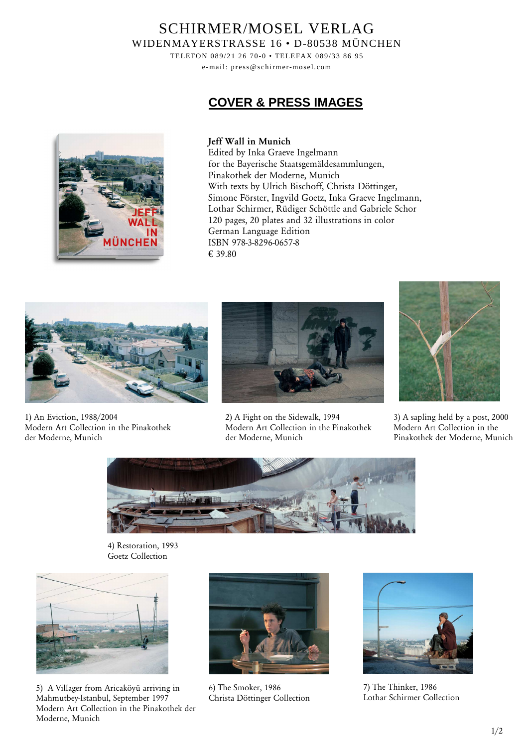## SCHIRMER/MOSEL VERLAG WIDENMAYERSTRASSE 16 • D-80538 MÜNCHEN

TELEFON 089/21 26 70-0 • TELEFAX 089/33 86 95

e-mail: press@schirmer-mosel.com

# **COVER & PRESS IMAGES**



#### **Jeff Wall in Munich**

Edited by Inka Graeve Ingelmann for the Bayerische Staatsgemäldesammlungen, Pinakothek der Moderne, Munich With texts by Ulrich Bischoff, Christa Döttinger, Simone Förster, Ingvild Goetz, Inka Graeve Ingelmann, Lothar Schirmer, Rüdiger Schöttle and Gabriele Schor 120 pages, 20 plates and 32 illustrations in color German Language Edition ISBN 978-3-8296-0657-8 € 39.80



1) An Eviction, 1988/2004 Modern Art Collection in the Pinakothek der Moderne, Munich



2) A Fight on the Sidewalk, 1994 Modern Art Collection in the Pinakothek der Moderne, Munich



3) A sapling held by a post, 2000 Modern Art Collection in the Pinakothek der Moderne, Munich



4) Restoration, 1993 Goetz Collection



5) A Villager from Aricaköyü arriving in Mahmutbey-Istanbul, September 1997 Modern Art Collection in the Pinakothek der Moderne, Munich



6) The Smoker, 1986 Christa Döttinger Collection



7) The Thinker, 1986 Lothar Schirmer Collection